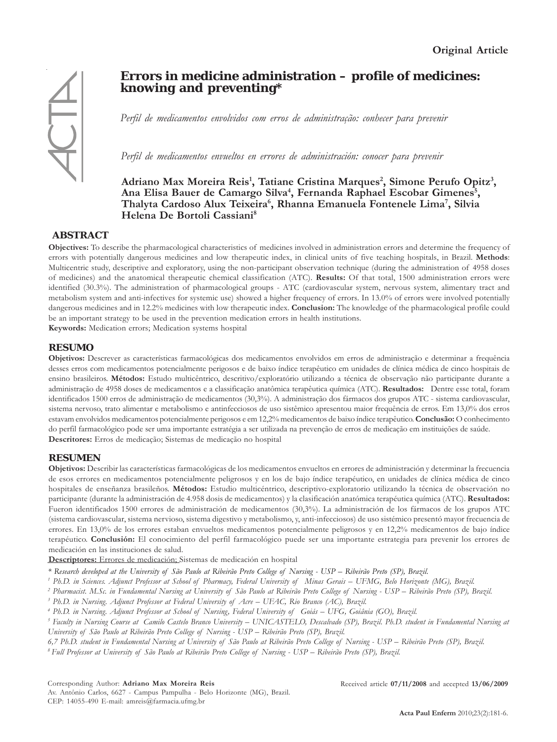# **Errors in medicine administration – profile of medicines: knowing and preventing\***

*Perfil de medicamentos envolvidos com erros de administração: conhecer para prevenir*

*Perfil de medicamentos envueltos en errores de administración: conocer para prevenir*

Adriano Max Moreira Reis<sup>1</sup>, Tatiane Cristina Marques<sup>2</sup>, Simone Perufo Opitz<sup>3</sup>, Ana Elisa Bauer de Camargo Silva<sup>4</sup>, Fernanda Raphael Escobar Gimenes<sup>5</sup>, Thalyta Cardoso Alux Teixeira<sup>6</sup>, Rhanna Emanuela Fontenele Lima<sup>7</sup>, Silvia **Helena De Bortoli Cassiani8**

## **ABSTRACT**

**Objectives:** To describe the pharmacological characteristics of medicines involved in administration errors and determine the frequency of errors with potentially dangerous medicines and low therapeutic index, in clinical units of five teaching hospitals, in Brazil. **Methods**: Multicentric study, descriptive and exploratory, using the non-participant observation technique (during the administration of 4958 doses of medicines) and the anatomical therapeutic chemical classification (ATC). **Results:** Of that total, 1500 administration errors were identified (30.3%). The administration of pharmacological groups - ATC (cardiovascular system, nervous system, alimentary tract and metabolism system and anti-infectives for systemic use) showed a higher frequency of errors. In 13.0% of errors were involved potentially dangerous medicines and in 12.2% medicines with low therapeutic index. **Conclusion:** The knowledge of the pharmacological profile could be an important strategy to be used in the prevention medication errors in health institutions.

**Keywords:** Medication errors; Medication systems hospital

## **RESUMO**

**Objetivos:** Descrever as características farmacológicas dos medicamentos envolvidos em erros de administração e determinar a frequência desses erros com medicamentos potencialmente perigosos e de baixo índice terapêutico em unidades de clínica médica de cinco hospitais de ensino brasileiros. **Métodos:** Estudo multicêntrico, descritivo/exploratório utilizando a técnica de observação não participante durante a administração de 4958 doses de medicamentos e a classificação anatômica terapêutica química (ATC). **Resultados:** Dentre esse total, foram identificados 1500 erros de administração de medicamentos (30,3%). A administração dos fármacos dos grupos ATC - sistema cardiovascular, sistema nervoso, trato alimentar e metabolismo e antinfecciosos de uso sistêmico apresentou maior frequência de erros. Em 13,0% dos erros estavam envolvidos medicamentos potencialmente perigosos e em 12,2% medicamentos de baixo índice terapêutico. **Conclusão:** O conhecimento do perfil farmacológico pode ser uma importante estratégia a ser utilizada na prevenção de erros de medicação em instituições de saúde. **Descritores:** Erros de medicação; Sistemas de medicação no hospital

## **RESUMEN**

**Objetivos:** Describir las características farmacológicas de los medicamentos envueltos en errores de administración y determinar la frecuencia de esos errores en medicamentos potencialmente peligrosos y en los de bajo índice terapéutico, en unidades de clínica médica de cinco hospitales de enseñanza brasileños. **Métodos:** Estudio multicéntrico, descriptivo-exploratorio utilizando la técnica de observación no participante (durante la administración de 4.958 dosis de medicamentos) y la clasificación anatómica terapéutica química (ATC). **Resultados:** Fueron identificados 1500 errores de administración de medicamentos (30,3%). La administración de los fármacos de los grupos ATC (sistema cardiovascular, sistema nervioso, sistema digestivo y metabolismo, y, anti-infecciosos) de uso sistémico presentó mayor frecuencia de errores. En 13,0% de los errores estaban envueltos medicamentos potencialmente peligrosos y en 12,2% medicamentos de bajo índice terapéutico. **Conclusión:** El conocimiento del perfil farmacológico puede ser una importante estrategia para prevenir los errores de medicación en las instituciones de salud.

**Descriptores:** Errores de medicación; Sistemas de medicación en hospital

*\* Research developed at the University of São Paulo at Ribeirão Preto College of Nursing - USP – Ribeirão Preto (SP), Brazil.*

*1 Ph.D. in Sciences. Adjunct Professor at School of Pharmacy, Federal University of Minas Gerais – UFMG, Belo Horizonte (MG), Brazil.*

- *2 Pharmacist. M.Sc. in Fundamental Nursing at University of São Paulo at Ribeirão Preto College of Nursing USP Ribeirão Preto (SP), Brazil.*
- *3 Ph.D. in Nursing. Adjunct Professor at Federal University of Acre UFAC, Rio Branco (AC), Brazil.*
- *4 Ph.D. in Nursing. Adjunct Professor at School of Nursing, Federal University of Goiás UFG, Goiânia (GO), Brazil.*
- *5 Faculty in Nursing Course at Camilo Castelo Branco University UNICASTELO, Descalvado (SP), Brazil. Ph.D. student in Fundamental Nursing at University of São Paulo at Ribeirão Preto College of Nursing - USP – Ribeirão Preto (SP), Brazil.*
- *6,7 Ph.D. student in Fundamental Nursing at University of São Paulo at Ribeirão Preto College of Nursing USP Ribeirão Preto (SP), Brazil.*
- *8 Full Professor at University of São Paulo at Ribeirão Preto College of Nursing USP Ribeirão Preto (SP), Brazil.*

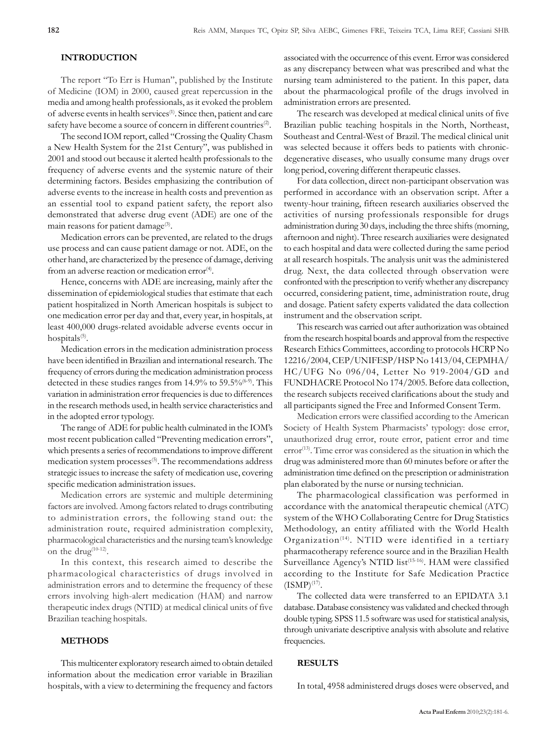## **INTRODUCTION**

The report "To Err is Human", published by the Institute of Medicine (IOM) in 2000, caused great repercussion in the media and among health professionals, as it evoked the problem of adverse events in health services<sup>(1)</sup>. Since then, patient and care safety have become a source of concern in different countries<sup>(2)</sup>.

The second IOM report, called "Crossing the Quality Chasm a New Health System for the 21st Century", was published in 2001 and stood out because it alerted health professionals to the frequency of adverse events and the systemic nature of their determining factors. Besides emphasizing the contribution of adverse events to the increase in health costs and prevention as an essential tool to expand patient safety, the report also demonstrated that adverse drug event (ADE) are one of the main reasons for patient damage<sup>(3)</sup>.

Medication errors can be prevented, are related to the drugs use process and can cause patient damage or not. ADE, on the other hand, are characterized by the presence of damage, deriving from an adverse reaction or medication error<sup>(4)</sup>.

Hence, concerns with ADE are increasing, mainly after the dissemination of epidemiological studies that estimate that each patient hospitalized in North American hospitals is subject to one medication error per day and that, every year, in hospitals, at least 400,000 drugs-related avoidable adverse events occur in hospitals $(5)$ .

Medication errors in the medication administration process have been identified in Brazilian and international research. The frequency of errors during the medication administration process detected in these studies ranges from 14.9% to 59.5%<sup>(6-9)</sup>. This variation in administration error frequencies is due to differences in the research methods used, in health service characteristics and in the adopted error typology.

The range of ADE for public health culminated in the IOM's most recent publication called "Preventing medication errors", which presents a series of recommendations to improve different medication system processes<sup>(5)</sup>. The recommendations address strategic issues to increase the safety of medication use, covering specific medication administration issues.

Medication errors are systemic and multiple determining factors are involved. Among factors related to drugs contributing to administration errors, the following stand out: the administration route, required administration complexity, pharmacological characteristics and the nursing team's knowledge on the drug(10-12).

In this context, this research aimed to describe the pharmacological characteristics of drugs involved in administration errors and to determine the frequency of these errors involving high-alert medication (HAM) and narrow therapeutic index drugs (NTID) at medical clinical units of five Brazilian teaching hospitals.

## **METHODS**

This multicenter exploratory research aimed to obtain detailed information about the medication error variable in Brazilian hospitals, with a view to determining the frequency and factors associated with the occurrence of this event. Error was considered as any discrepancy between what was prescribed and what the nursing team administered to the patient. In this paper, data about the pharmacological profile of the drugs involved in administration errors are presented.

The research was developed at medical clinical units of five Brazilian public teaching hospitals in the North, Northeast, Southeast and Central-West of Brazil. The medical clinical unit was selected because it offers beds to patients with chronicdegenerative diseases, who usually consume many drugs over long period, covering different therapeutic classes.

For data collection, direct non-participant observation was performed in accordance with an observation script. After a twenty-hour training, fifteen research auxiliaries observed the activities of nursing professionals responsible for drugs administration during 30 days, including the three shifts (morning, afternoon and night). Three research auxiliaries were designated to each hospital and data were collected during the same period at all research hospitals. The analysis unit was the administered drug. Next, the data collected through observation were confronted with the prescription to verify whether any discrepancy occurred, considering patient, time, administration route, drug and dosage. Patient safety experts validated the data collection instrument and the observation script.

This research was carried out after authorization was obtained from the research hospital boards and approval from the respective Research Ethics Committees, according to protocols HCRP No 12216/2004, CEP/UNIFESP/HSP No 1413/04, CEPMHA/ HC/UFG No 096/04, Letter No 919-2004/GD and FUNDHACRE Protocol No 174/2005. Before data collection, the research subjects received clarifications about the study and all participants signed the Free and Informed Consent Term.

Medication errors were classified according to the American Society of Health System Pharmacists' typology: dose error, unauthorized drug error, route error, patient error and time error<sup>(13)</sup>. Time error was considered as the situation in which the drug was administered more than 60 minutes before or after the administration time defined on the prescription or administration plan elaborated by the nurse or nursing technician.

The pharmacological classification was performed in accordance with the anatomical therapeutic chemical (ATC) system of the WHO Collaborating Centre for Drug Statistics Methodology, an entity affiliated with the World Health Organization<sup>(14)</sup>. NTID were identified in a tertiary pharmacotherapy reference source and in the Brazilian Health Surveillance Agency's NTID list<sup>(15-16)</sup>. HAM were classified according to the Institute for Safe Medication Practice  $(ISMP)^{(17)}$ .

The collected data were transferred to an EPIDATA 3.1 database. Database consistency was validated and checked through double typing. SPSS 11.5 software was used for statistical analysis, through univariate descriptive analysis with absolute and relative frequencies.

### **RESULTS**

In total, 4958 administered drugs doses were observed, and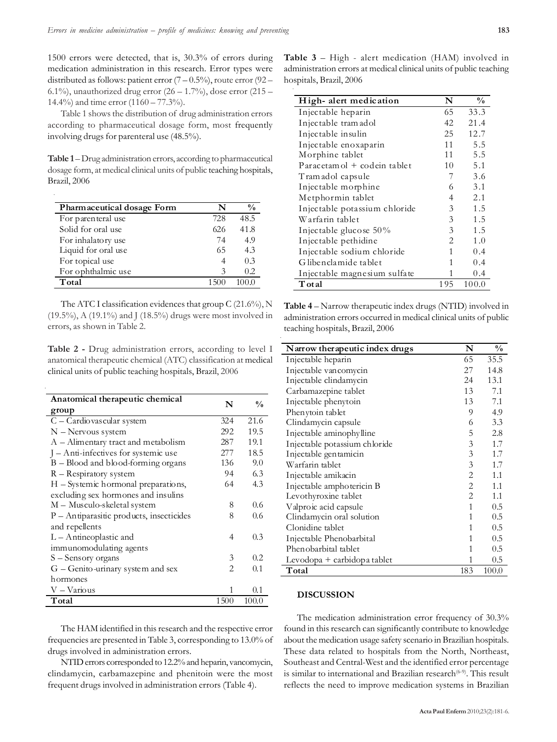1500 errors were detected, that is, 30.3% of errors during medication administration in this research. Error types were distributed as follows: patient error  $(7 - 0.5\%)$ , route error  $(92 -$ 6.1%), unauthorized drug error  $(26 - 1.7\%)$ , dose error  $(215 -$ 14.4%) and time error  $(1160 - 77.3\%)$ .

Table 1 shows the distribution of drug administration errors according to pharmaceutical dosage form, most frequently involving drugs for parenteral use (48.5%).

**Table 1** – Drug administration errors, according to pharmaceutical dosage form, at medical clinical units of public teaching hospitals, Brazil, 2006

| <b>Pharmaceutical dosage Form</b> | N                           | $\frac{0}{0}$ |
|-----------------------------------|-----------------------------|---------------|
| For parenteral use                | 72.8                        | 48.5          |
| Solid for oral use                | 626                         | 41.8          |
| For inhalatory use                | 74                          | 4.9           |
| Liquid for oral use               | 65                          | 4.3           |
| For topical use                   |                             | 0.3           |
| For ophthalmic use                | $\mathcal{R}_{\mathcal{A}}$ | 0.2           |
| Total                             |                             |               |

The ATC I classification evidences that group C (21.6%), N (19.5%), A (19.1%) and J (18.5%) drugs were most involved in errors, as shown in Table 2.

**Table 2 -** Drug administration errors, according to level I anatomical therapeutic chemical (ATC) classification at medical clinical units of public teaching hospitals, Brazil, 2006

| Anatomical therapeutic chemical          | N              | $\frac{0}{0}$ |
|------------------------------------------|----------------|---------------|
| group                                    |                |               |
| C - Cardiovascular system                | 324            | 21.6          |
| N - Nervous system                       | 292            | 19.5          |
| $A$ – Alimentary tract and metabolism    | 287            | 19.1          |
| J - Anti-infectives for systemic use     | 277            | 18.5          |
| $B - Blood$ and blood-forming organs     | 136            | 9.0           |
| $R -$ Respiratory system                 | 94             | 6.3           |
| H - Systemic hormonal preparations,      | 64             | 4.3           |
| excluding sex hormones and insulins      |                |               |
| M – Musculo-skeletal system              | 8              | 0.6           |
| P – Antiparasitic products, insecticides | 8              | 0.6           |
| and repellents                           |                |               |
| L-Antineoplastic and                     | 4              | 0.3           |
| immunomodulating agents                  |                |               |
| S – Sensory organs                       | 3              | 0.2           |
| $G$ – Genito-urinary system and sex      | $\mathfrak{D}$ | 0.1           |
| hormones                                 |                |               |
| V – Various                              | 1              | 0.1           |
| Total                                    | 1500           | 100.0         |

The HAM identified in this research and the respective error frequencies are presented in Table 3, corresponding to 13.0% of drugs involved in administration errors.

NTID errors corresponded to 12.2% and heparin, vancomycin, clindamycin, carbamazepine and phenitoin were the most frequent drugs involved in administration errors (Table 4).

**Table 3** – High - alert medication (HAM) involved in administration errors at medical clinical units of public teaching hospitals, Brazil, 2006

| High-alert medication         | N   | $\frac{0}{0}$ |
|-------------------------------|-----|---------------|
| Injectable heparin            | 65  | 33.3          |
| Injectable tram adol          | 42  | 21.4          |
| Injectable insulin            | 25  | 12.7          |
| Injectable enoxaparin         | 11  | 5.5           |
| Morphine tablet               | 11  | 5.5           |
| Paracetam ol + codein tablet  | 10  | 5.1           |
| Tramadol capsule              | 7   | 3.6           |
| Injectable morphine           | 6   | 3.1           |
| Metphormin tablet             | 4   | 2.1           |
| Injectable potassium chloride | 3   | 1.5           |
| Warfarin tablet               | 3   | 1.5           |
| Injectable glucose 50%        | 3   | 1.5           |
| Injectable pethidine          | 2   | 1.0           |
| Injectable sodium chloride    | 1   | 0.4           |
| Glibenclamide tablet          | 1   | 0.4           |
| Injectable magnesium sulfate  |     | 0.4           |
| T ot al                       | 195 | 100.0         |

**Table 4** – Narrow therapeutic index drugs (NTID) involved in administration errors occurred in medical clinical units of public teaching hospitals, Brazil, 2006

| Narrow therapeutic index drugs | N              | $\frac{0}{0}$ |
|--------------------------------|----------------|---------------|
| Injectable heparin             | 65             | 35.5          |
| Injectable van comycin         | 27             | 14.8          |
| Injectable clindamycin         | 24             | 13.1          |
| Carbamazepine tablet           | 13             | 7.1           |
| Injectable phenytoin           | 13             | 7.1           |
| Phenytoin tablet               | 9              | 4.9           |
| Clindamycin capsule            | 6              | 3.3           |
| Injectable aminophylline       | 5              | 2.8           |
| Injectable potassium chloride  | 3              | 1.7           |
| Injectable gentamicin          | $\mathfrak{Z}$ | 1.7           |
| Warfarin tablet                | $\mathfrak{Z}$ | 1.7           |
| Injectable amikacin            | $\mathbf{2}$   | 1.1           |
| Injectable amphotericin B      | $\mathbf{2}$   | 1.1           |
| Levothyroxine tablet           | $\overline{2}$ | 1.1           |
| Valproic acid capsule          | $\mathbf{1}$   | 0.5           |
| Clindamycin oral solution      | $\mathbf{1}$   | 0.5           |
| Clonidine tablet               | 1              | 0.5           |
| Injectable Phenobarbital       | 1              | 0.5           |
| Phenobarbital tablet           | 1              | 0.5           |
| Levodopa + carbidopa tablet    | 1              | 0.5           |
| Total                          | 183            | 100.0         |

## **DISCUSSION**

The medication administration error frequency of 30.3% found in this research can significantly contribute to knowledge about the medication usage safety scenario in Brazilian hospitals. These data related to hospitals from the North, Northeast, Southeast and Central-West and the identified error percentage is similar to international and Brazilian research<sup>(6-9)</sup>. This result reflects the need to improve medication systems in Brazilian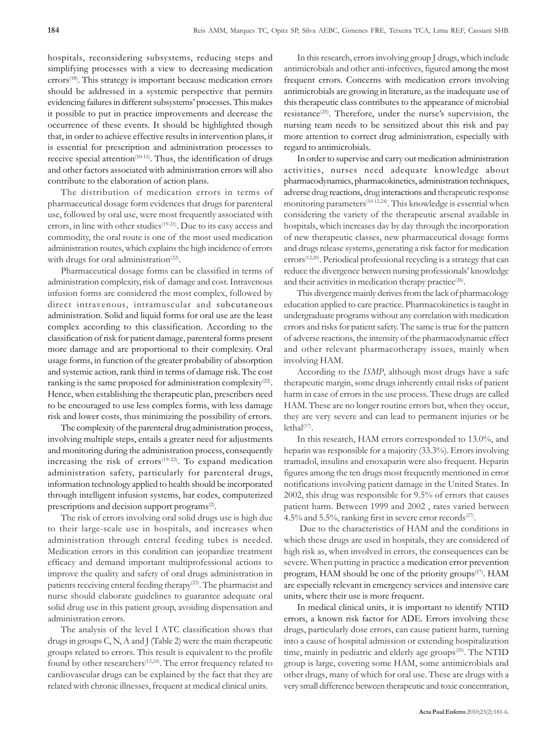hospitals, reconsidering subsystems, reducing steps and simplifying processes with a view to decreasing medication errors<sup>(18)</sup>. This strategy is important because medication errors should be addressed in a systemic perspective that permits evidencing failures in different subsystems' processes. This makes it possible to put in practice improvements and decrease the occurrence of these events. It should be highlighted though that, in order to achieve effective results in intervention plans, it is essential for prescription and administration processes to receive special attention<sup> $(10-11)$ </sup>. Thus, the identification of drugs and other factors associated with administration errors will also contribute to the elaboration of action plans.

The distribution of medication errors in terms of pharmaceutical dosage form evidences that drugs for parenteral use, followed by oral use, were most frequently associated with errors, in line with other studies<sup>(19-21)</sup>. Due to its easy access and commodity, the oral route is one of the most used medication administration routes, which explains the high incidence of errors with drugs for oral administration<sup>(22)</sup>.

Pharmaceutical dosage forms can be classified in terms of administration complexity, risk of damage and cost. Intravenous infusion forms are considered the most complex, followed by direct intravenous, intramuscular and subcutaneous administration. Solid and liquid forms for oral use are the least complex according to this classification. According to the classification of risk for patient damage, parenteral forms present more damage and are proportional to their complexity. Oral usage forms, in function of the greater probability of absorption and systemic action, rank third in terms of damage risk. The cost ranking is the same proposed for administration complexity<sup>(22)</sup>. Hence, when establishing the therapeutic plan, prescribers need to be encouraged to use less complex forms, with less damage risk and lower costs, thus minimizing the possibility of errors.

The complexity of the parenteral drug administration process, involving multiple steps, entails a greater need for adjustments and monitoring during the administration process, consequently increasing the risk of errors<sup> $(19-22)$ </sup>. To expand medication administration safety, particularly for parenteral drugs, information technology applied to health should be incorporated through intelligent infusion systems, bar codes, computerized prescriptions and decision support programs<sup>(2)</sup>.

The risk of errors involving oral solid drugs use is high due to their large-scale use in hospitals, and increases when administration through enteral feeding tubes is needed. Medication errors in this condition can jeopardize treatment efficacy and demand important multiprofessional actions to improve the quality and safety of oral drugs administration in patients receiving enteral feeding therapy<sup>(23)</sup>. The pharmacist and nurse should elaborate guidelines to guarantee adequate oral solid drug use in this patient group, avoiding dispensation and administration errors.

The analysis of the level I ATC classification shows that drugs in groups C, N, A and J (Table 2) were the main therapeutic groups related to errors. This result is equivalent to the profile found by other researchers<sup>(12,24)</sup>. The error frequency related to cardiovascular drugs can be explained by the fact that they are related with chronic illnesses, frequent at medical clinical units.

In this research, errors involving group J drugs, which include antimicrobials and other anti-infectives, figured among the most frequent errors. Concerns with medication errors involving antimicrobials are growing in literature, as the inadequate use of this therapeutic class contributes to the appearance of microbial resistance<sup> $(25)$ </sup>. Therefore, under the nurse's supervision, the nursing team needs to be sensitized about this risk and pay more attention to correct drug administration, especially with regard to antimicrobials.

In order to supervise and carry out medication administration activities, nurses need adequate knowledge about pharmacodynamics, pharmacokinetics, administration techniques, adverse drug reactions, drug interactions and therapeutic response monitoring parameters<sup>(10-12,24)</sup>. This knowledge is essential when considering the variety of the therapeutic arsenal available in hospitals, which increases day by day through the incorporation of new therapeutic classes, new pharmaceutical dosage forms and drugs release systems, generating a risk factor for medication errors<sup>(12,20)</sup>. Periodical professional recycling is a strategy that can reduce the divergence between nursing professionals' knowledge and their activities in medication therapy practice<sup>(26)</sup>.

This divergence mainly derives from the lack of pharmacology education applied to care practice. Pharmacokinetics is taught in undergraduate programs without any correlation with medication errors and risks for patient safety. The same is true for the pattern of adverse reactions, the intensity of the pharmacodynamic effect and other relevant pharmacotherapy issues, mainly when involving HAM.

According to the *ISMP*, although most drugs have a safe therapeutic margin, some drugs inherently entail risks of patient harm in case of errors in the use process. These drugs are called HAM. These are no longer routine errors but, when they occur, they are very severe and can lead to permanent injuries or be  $lethal^{(17)}$ .

In this research, HAM errors corresponded to 13.0%, and heparin was responsible for a majority (33.3%). Errors involving tramadol, insulins and enoxaparin were also frequent. Heparin figures among the ten drugs most frequently mentioned in error notifications involving patient damage in the United States. In 2002, this drug was responsible for 9.5% of errors that causes patient harm. Between 1999 and 2002 , rates varied between 4.5% and 5.5%, ranking first in severe error records<sup>(27)</sup>.

 Due to the characteristics of HAM and the conditions in which these drugs are used in hospitals, they are considered of high risk as, when involved in errors, the consequences can be severe. When putting in practice a medication error prevention program, HAM should be one of the priority groups<sup>(17)</sup>. HAM are especially relevant in emergency services and intensive care units, where their use is more frequent.

In medical clinical units, it is important to identify NTID errors, a known risk factor for ADE. Errors involving these drugs, particularly dose errors, can cause patient harm, turning into a cause of hospital admission or extending hospitalization time, mainly in pediatric and elderly age groups<sup>(26)</sup>. The NTID group is large, covering some HAM, some antimicrobials and other drugs, many of which for oral use. These are drugs with a very small difference between therapeutic and toxic concentration,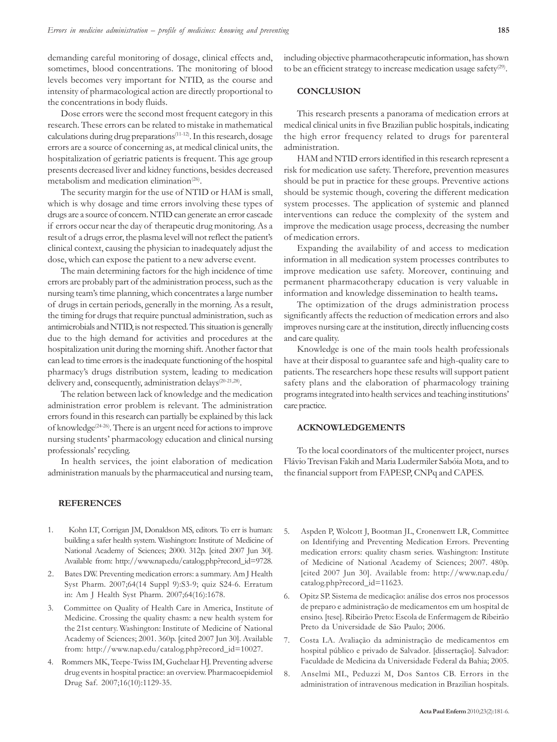demanding careful monitoring of dosage, clinical effects and, sometimes, blood concentrations. The monitoring of blood levels becomes very important for NTID, as the course and intensity of pharmacological action are directly proportional to the concentrations in body fluids.

Dose errors were the second most frequent category in this research. These errors can be related to mistake in mathematical calculations during drug preparations(11-12). In this research, dosage errors are a source of concerning as, at medical clinical units, the hospitalization of geriatric patients is frequent. This age group presents decreased liver and kidney functions, besides decreased metabolism and medication elimination(26).

The security margin for the use of NTID or HAM is small, which is why dosage and time errors involving these types of drugs are a source of concern. NTID can generate an error cascade if errors occur near the day of therapeutic drug monitoring. As a result of a drugs error, the plasma level will not reflect the patient's clinical context, causing the physician to inadequately adjust the dose, which can expose the patient to a new adverse event.

The main determining factors for the high incidence of time errors are probably part of the administration process, such as the nursing team's time planning, which concentrates a large number of drugs in certain periods, generally in the morning. As a result, the timing for drugs that require punctual administration, such as antimicrobials and NTID, is not respected. This situation is generally due to the high demand for activities and procedures at the hospitalization unit during the morning shift. Another factor that can lead to time errors is the inadequate functioning of the hospital pharmacy's drugs distribution system, leading to medication delivery and, consequently, administration delays<sup>(20-21,28)</sup>.

The relation between lack of knowledge and the medication administration error problem is relevant. The administration errors found in this research can partially be explained by this lack of knowledge<sup>(24-26)</sup>. There is an urgent need for actions to improve nursing students' pharmacology education and clinical nursing professionals' recycling.

In health services, the joint elaboration of medication administration manuals by the pharmaceutical and nursing team,

#### **REFERENCES**

- 1. Kohn LT, Corrigan JM, Donaldson MS, editors. To err is human: building a safer health system. Washington: Institute of Medicine of National Academy of Sciences; 2000. 312p. [cited 2007 Jun 30]. Available from: http://www.nap.edu/catalog.php?record\_id=9728.
- 2. Bates DW. Preventing medication errors: a summary. Am J Health Syst Pharm. 2007;64(14 Suppl 9):S3-9; quiz S24-6. Erratum in: Am J Health Syst Pharm. 2007;64(16):1678.
- 3. Committee on Quality of Health Care in America, Institute of Medicine. Crossing the quality chasm: a new health system for the 21st century. Washington: Institute of Medicine of National Academy of Sciences; 2001. 360p. [cited 2007 Jun 30]. Available from: http://www.nap.edu/catalog.php?record\_id=10027.
- 4. Rommers MK, Teepe-Twiss IM, Guchelaar HJ. Preventing adverse drug events in hospital practice: an overview. Pharmacoepidemiol Drug Saf. 2007;16(10):1129-35.

including objective pharmacotherapeutic information, has shown to be an efficient strategy to increase medication usage safety<sup>(29)</sup>.

### **CONCLUSION**

This research presents a panorama of medication errors at medical clinical units in five Brazilian public hospitals, indicating the high error frequency related to drugs for parenteral administration.

HAM and NTID errors identified in this research represent a risk for medication use safety. Therefore, prevention measures should be put in practice for these groups. Preventive actions should be systemic though, covering the different medication system processes. The application of systemic and planned interventions can reduce the complexity of the system and improve the medication usage process, decreasing the number of medication errors.

Expanding the availability of and access to medication information in all medication system processes contributes to improve medication use safety. Moreover, continuing and permanent pharmacotherapy education is very valuable in information and knowledge dissemination to health teams**.**

The optimization of the drugs administration process significantly affects the reduction of medication errors and also improves nursing care at the institution, directly influencing costs and care quality.

Knowledge is one of the main tools health professionals have at their disposal to guarantee safe and high-quality care to patients. The researchers hope these results will support patient safety plans and the elaboration of pharmacology training programs integrated into health services and teaching institutions' care practice.

#### **ACKNOWLEDGEMENTS**

To the local coordinators of the multicenter project, nurses Flávio Trevisan Fakih and Maria Ludermiler Sabóia Mota, and to the financial support from FAPESP, CNPq and CAPES.

- 5. Aspden P, Wolcott J, Bootman JL, Cronenwett LR, Committee on Identifying and Preventing Medication Errors. Preventing medication errors: quality chasm series. Washington: Institute of Medicine of National Academy of Sciences; 2007. 480p. [cited 2007 Jun 30]. Available from: http://www.nap.edu/ catalog.php?record\_id=11623.
- 6. Opitz SP. Sistema de medicação: análise dos erros nos processos de preparo e administração de medicamentos em um hospital de ensino. [tese]. Ribeirão Preto: Escola de Enfermagem de Ribeirão Preto da Universidade de São Paulo; 2006.
- 7. Costa LA. Avaliação da administração de medicamentos em hospital público e privado de Salvador. [dissertação]. Salvador: Faculdade de Medicina da Universidade Federal da Bahia; 2005.
- 8. Anselmi ML, Peduzzi M, Dos Santos CB. Errors in the administration of intravenous medication in Brazilian hospitals.